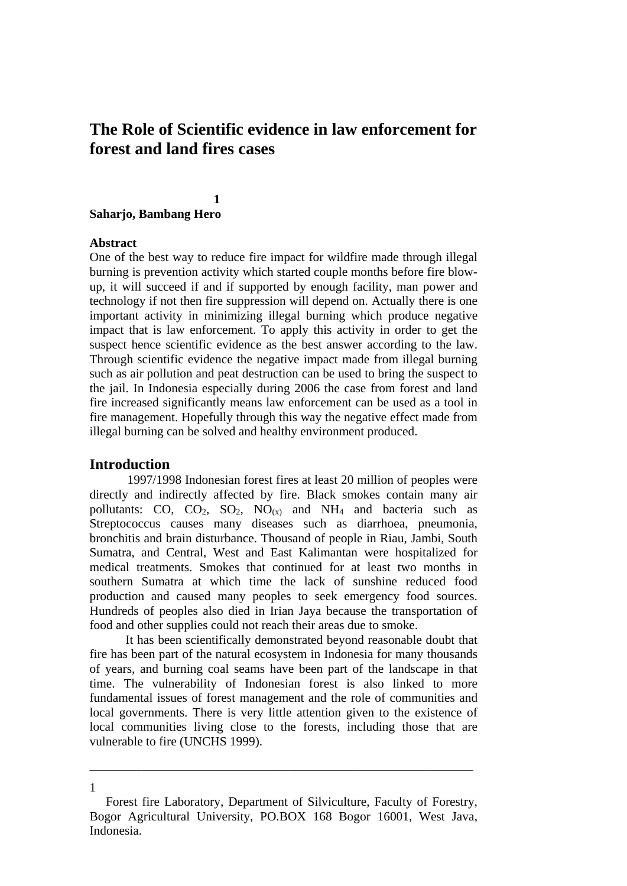# **The Role of Scientific evidence in law enforcement for forest and land fires cases**

# **1 Saharjo, Bambang Hero**

#### **Abstract**

One of the best way to reduce fire impact for wildfire made through illegal burning is prevention activity which started couple months before fire blowup, it will succeed if and if supported by enough facility, man power and technology if not then fire suppression will depend on. Actually there is one important activity in minimizing illegal burning which produce negative impact that is law enforcement. To apply this activity in order to get the suspect hence scientific evidence as the best answer according to the law. Through scientific evidence the negative impact made from illegal burning such as air pollution and peat destruction can be used to bring the suspect to the jail. In Indonesia especially during 2006 the case from forest and land fire increased significantly means law enforcement can be used as a tool in fire management. Hopefully through this way the negative effect made from illegal burning can be solved and healthy environment produced.

# **Introduction**

1

1997/1998 Indonesian forest fires at least 20 million of peoples were directly and indirectly affected by fire. Black smokes contain many air pollutants: CO, CO<sub>2</sub>, SO<sub>2</sub>, NO<sub>(x)</sub> and NH<sub>4</sub> and bacteria such as Streptococcus causes many diseases such as diarrhoea, pneumonia, bronchitis and brain disturbance. Thousand of people in Riau, Jambi, South Sumatra, and Central, West and East Kalimantan were hospitalized for medical treatments. Smokes that continued for at least two months in southern Sumatra at which time the lack of sunshine reduced food production and caused many peoples to seek emergency food sources. Hundreds of peoples also died in Irian Jaya because the transportation of food and other supplies could not reach their areas due to smoke.

It has been scientifically demonstrated beyond reasonable doubt that fire has been part of the natural ecosystem in Indonesia for many thousands of years, and burning coal seams have been part of the landscape in that time. The vulnerability of Indonesian forest is also linked to more fundamental issues of forest management and the role of communities and local governments. There is very little attention given to the existence of local communities living close to the forests, including those that are vulnerable to fire (UNCHS 1999).

\_\_\_\_\_\_\_\_\_\_\_\_\_\_\_\_\_\_\_\_\_\_\_\_\_\_\_\_\_\_\_\_\_\_\_\_\_\_\_\_\_\_\_\_\_\_\_\_\_\_\_\_\_\_\_\_\_\_\_\_\_\_\_\_\_\_\_\_\_\_\_\_\_\_\_\_\_\_\_\_\_

Forest fire Laboratory, Department of Silviculture, Faculty of Forestry, Bogor Agricultural University, PO.BOX 168 Bogor 16001, West Java, Indonesia.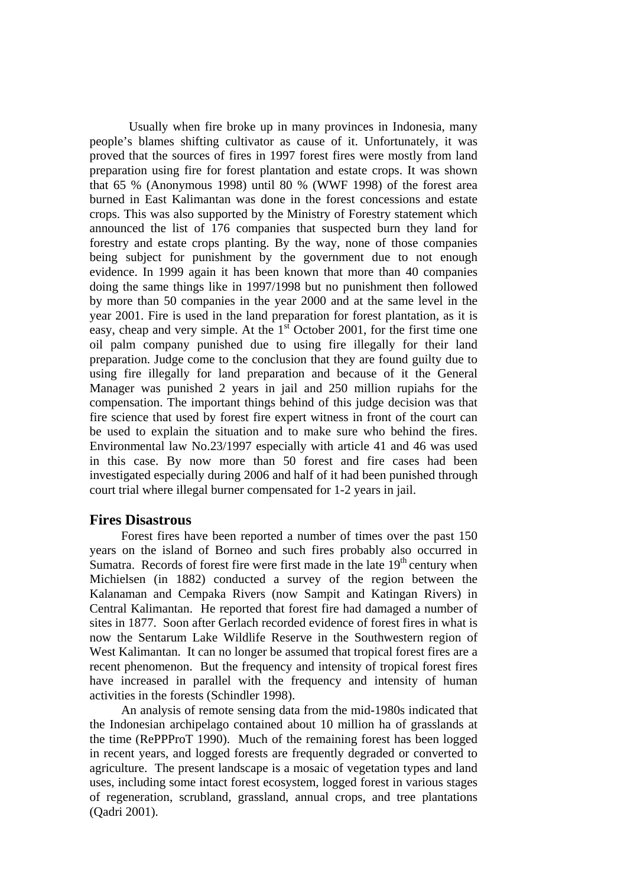Usually when fire broke up in many provinces in Indonesia, many people's blames shifting cultivator as cause of it. Unfortunately, it was proved that the sources of fires in 1997 forest fires were mostly from land preparation using fire for forest plantation and estate crops. It was shown that 65 % (Anonymous 1998) until 80 % (WWF 1998) of the forest area burned in East Kalimantan was done in the forest concessions and estate crops. This was also supported by the Ministry of Forestry statement which announced the list of 176 companies that suspected burn they land for forestry and estate crops planting. By the way, none of those companies being subject for punishment by the government due to not enough evidence. In 1999 again it has been known that more than 40 companies doing the same things like in 1997/1998 but no punishment then followed by more than 50 companies in the year 2000 and at the same level in the year 2001. Fire is used in the land preparation for forest plantation, as it is easy, cheap and very simple. At the  $1<sup>st</sup>$  October 2001, for the first time one oil palm company punished due to using fire illegally for their land preparation. Judge come to the conclusion that they are found guilty due to using fire illegally for land preparation and because of it the General Manager was punished 2 years in jail and 250 million rupiahs for the compensation. The important things behind of this judge decision was that fire science that used by forest fire expert witness in front of the court can be used to explain the situation and to make sure who behind the fires. Environmental law No.23/1997 especially with article 41 and 46 was used in this case. By now more than 50 forest and fire cases had been investigated especially during 2006 and half of it had been punished through court trial where illegal burner compensated for 1-2 years in jail.

# **Fires Disastrous**

Forest fires have been reported a number of times over the past 150 years on the island of Borneo and such fires probably also occurred in Sumatra. Records of forest fire were first made in the late  $19<sup>th</sup>$  century when Michielsen (in 1882) conducted a survey of the region between the Kalanaman and Cempaka Rivers (now Sampit and Katingan Rivers) in Central Kalimantan. He reported that forest fire had damaged a number of sites in 1877. Soon after Gerlach recorded evidence of forest fires in what is now the Sentarum Lake Wildlife Reserve in the Southwestern region of West Kalimantan. It can no longer be assumed that tropical forest fires are a recent phenomenon. But the frequency and intensity of tropical forest fires have increased in parallel with the frequency and intensity of human activities in the forests (Schindler 1998).

An analysis of remote sensing data from the mid-1980s indicated that the Indonesian archipelago contained about 10 million ha of grasslands at the time (RePPProT 1990). Much of the remaining forest has been logged in recent years, and logged forests are frequently degraded or converted to agriculture. The present landscape is a mosaic of vegetation types and land uses, including some intact forest ecosystem, logged forest in various stages of regeneration, scrubland, grassland, annual crops, and tree plantations (Qadri 2001).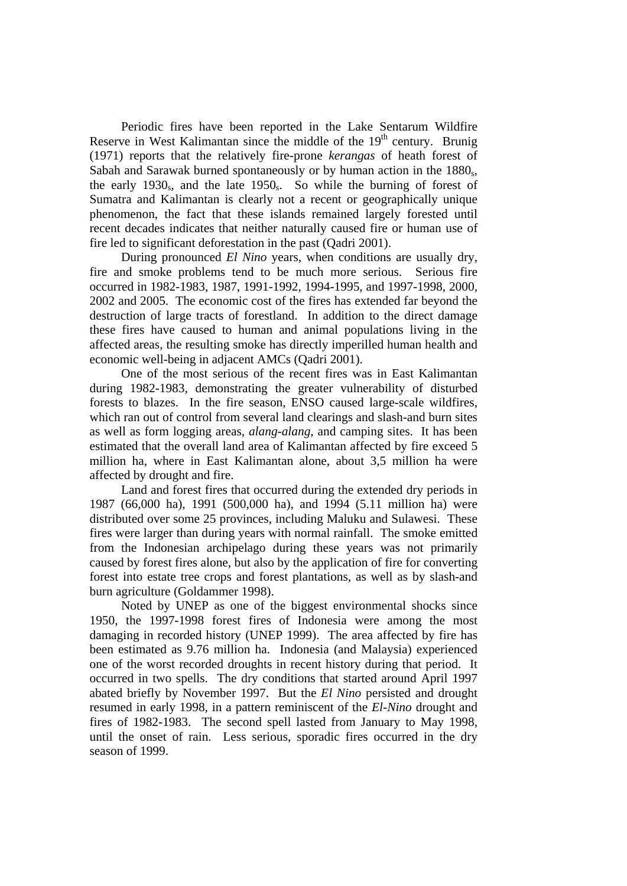Periodic fires have been reported in the Lake Sentarum Wildfire Reserve in West Kalimantan since the middle of the  $19<sup>th</sup>$  century. Brunig (1971) reports that the relatively fire-prone *kerangas* of heath forest of Sabah and Sarawak burned spontaneously or by human action in the 1880. the early 1930<sub>s</sub>, and the late 1950<sub>s</sub>. So while the burning of forest of Sumatra and Kalimantan is clearly not a recent or geographically unique phenomenon, the fact that these islands remained largely forested until recent decades indicates that neither naturally caused fire or human use of fire led to significant deforestation in the past (Qadri 2001).

During pronounced *El Nino* years, when conditions are usually dry, fire and smoke problems tend to be much more serious. Serious fire occurred in 1982-1983, 1987, 1991-1992, 1994-1995, and 1997-1998, 2000, 2002 and 2005. The economic cost of the fires has extended far beyond the destruction of large tracts of forestland. In addition to the direct damage these fires have caused to human and animal populations living in the affected areas, the resulting smoke has directly imperilled human health and economic well-being in adjacent AMCs (Qadri 2001).

One of the most serious of the recent fires was in East Kalimantan during 1982-1983, demonstrating the greater vulnerability of disturbed forests to blazes. In the fire season, ENSO caused large-scale wildfires, which ran out of control from several land clearings and slash-and burn sites as well as form logging areas, *alang-alang*, and camping sites. It has been estimated that the overall land area of Kalimantan affected by fire exceed 5 million ha, where in East Kalimantan alone, about 3,5 million ha were affected by drought and fire.

Land and forest fires that occurred during the extended dry periods in 1987 (66,000 ha), 1991 (500,000 ha), and 1994 (5.11 million ha) were distributed over some 25 provinces, including Maluku and Sulawesi. These fires were larger than during years with normal rainfall. The smoke emitted from the Indonesian archipelago during these years was not primarily caused by forest fires alone, but also by the application of fire for converting forest into estate tree crops and forest plantations, as well as by slash-and burn agriculture (Goldammer 1998).

Noted by UNEP as one of the biggest environmental shocks since 1950, the 1997-1998 forest fires of Indonesia were among the most damaging in recorded history (UNEP 1999). The area affected by fire has been estimated as 9.76 million ha. Indonesia (and Malaysia) experienced one of the worst recorded droughts in recent history during that period. It occurred in two spells. The dry conditions that started around April 1997 abated briefly by November 1997. But the *El Nino* persisted and drought resumed in early 1998, in a pattern reminiscent of the *El-Nino* drought and fires of 1982-1983. The second spell lasted from January to May 1998, until the onset of rain. Less serious, sporadic fires occurred in the dry season of 1999.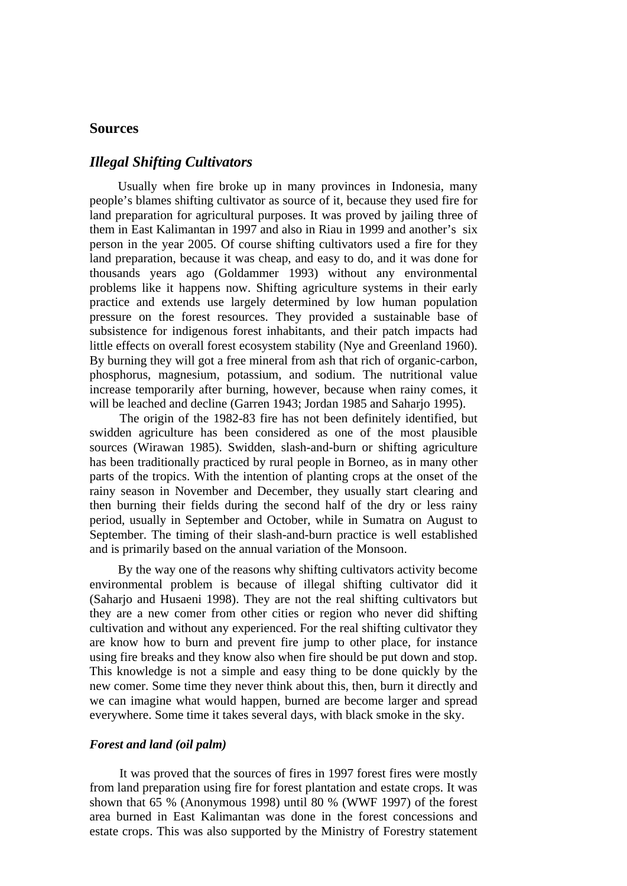# **Sources**

# *Illegal Shifting Cultivators*

Usually when fire broke up in many provinces in Indonesia, many people's blames shifting cultivator as source of it, because they used fire for land preparation for agricultural purposes. It was proved by jailing three of them in East Kalimantan in 1997 and also in Riau in 1999 and another's six person in the year 2005. Of course shifting cultivators used a fire for they land preparation, because it was cheap, and easy to do, and it was done for thousands years ago (Goldammer 1993) without any environmental problems like it happens now. Shifting agriculture systems in their early practice and extends use largely determined by low human population pressure on the forest resources. They provided a sustainable base of subsistence for indigenous forest inhabitants, and their patch impacts had little effects on overall forest ecosystem stability (Nye and Greenland 1960). By burning they will got a free mineral from ash that rich of organic-carbon, phosphorus, magnesium, potassium, and sodium. The nutritional value increase temporarily after burning, however, because when rainy comes, it will be leached and decline (Garren 1943; Jordan 1985 and Saharjo 1995).

The origin of the 1982-83 fire has not been definitely identified, but swidden agriculture has been considered as one of the most plausible sources (Wirawan 1985). Swidden, slash-and-burn or shifting agriculture has been traditionally practiced by rural people in Borneo, as in many other parts of the tropics. With the intention of planting crops at the onset of the rainy season in November and December, they usually start clearing and then burning their fields during the second half of the dry or less rainy period, usually in September and October, while in Sumatra on August to September. The timing of their slash-and-burn practice is well established and is primarily based on the annual variation of the Monsoon.

By the way one of the reasons why shifting cultivators activity become environmental problem is because of illegal shifting cultivator did it (Saharjo and Husaeni 1998). They are not the real shifting cultivators but they are a new comer from other cities or region who never did shifting cultivation and without any experienced. For the real shifting cultivator they are know how to burn and prevent fire jump to other place, for instance using fire breaks and they know also when fire should be put down and stop. This knowledge is not a simple and easy thing to be done quickly by the new comer. Some time they never think about this, then, burn it directly and we can imagine what would happen, burned are become larger and spread everywhere. Some time it takes several days, with black smoke in the sky.

### *Forest and land (oil palm)*

It was proved that the sources of fires in 1997 forest fires were mostly from land preparation using fire for forest plantation and estate crops. It was shown that 65 % (Anonymous 1998) until 80 % (WWF 1997) of the forest area burned in East Kalimantan was done in the forest concessions and estate crops. This was also supported by the Ministry of Forestry statement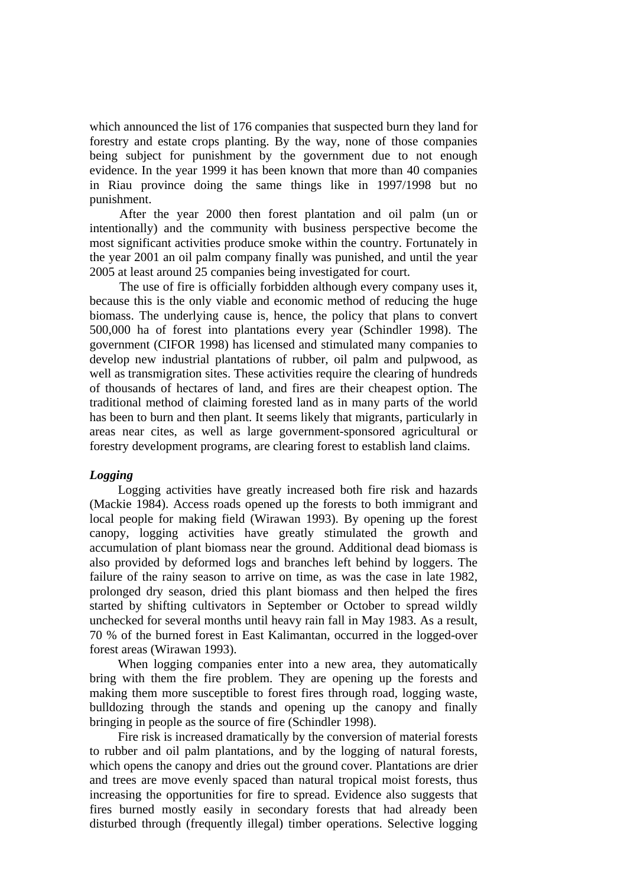which announced the list of 176 companies that suspected burn they land for forestry and estate crops planting. By the way, none of those companies being subject for punishment by the government due to not enough evidence. In the year 1999 it has been known that more than 40 companies in Riau province doing the same things like in 1997/1998 but no punishment.

After the year 2000 then forest plantation and oil palm (un or intentionally) and the community with business perspective become the most significant activities produce smoke within the country. Fortunately in the year 2001 an oil palm company finally was punished, and until the year 2005 at least around 25 companies being investigated for court.

The use of fire is officially forbidden although every company uses it, because this is the only viable and economic method of reducing the huge biomass. The underlying cause is, hence, the policy that plans to convert 500,000 ha of forest into plantations every year (Schindler 1998). The government (CIFOR 1998) has licensed and stimulated many companies to develop new industrial plantations of rubber, oil palm and pulpwood, as well as transmigration sites. These activities require the clearing of hundreds of thousands of hectares of land, and fires are their cheapest option. The traditional method of claiming forested land as in many parts of the world has been to burn and then plant. It seems likely that migrants, particularly in areas near cites, as well as large government-sponsored agricultural or forestry development programs, are clearing forest to establish land claims.

### *Logging*

Logging activities have greatly increased both fire risk and hazards (Mackie 1984). Access roads opened up the forests to both immigrant and local people for making field (Wirawan 1993). By opening up the forest canopy, logging activities have greatly stimulated the growth and accumulation of plant biomass near the ground. Additional dead biomass is also provided by deformed logs and branches left behind by loggers. The failure of the rainy season to arrive on time, as was the case in late 1982, prolonged dry season, dried this plant biomass and then helped the fires started by shifting cultivators in September or October to spread wildly unchecked for several months until heavy rain fall in May 1983. As a result, 70 % of the burned forest in East Kalimantan, occurred in the logged-over forest areas (Wirawan 1993).

When logging companies enter into a new area, they automatically bring with them the fire problem. They are opening up the forests and making them more susceptible to forest fires through road, logging waste, bulldozing through the stands and opening up the canopy and finally bringing in people as the source of fire (Schindler 1998).

Fire risk is increased dramatically by the conversion of material forests to rubber and oil palm plantations, and by the logging of natural forests, which opens the canopy and dries out the ground cover. Plantations are drier and trees are move evenly spaced than natural tropical moist forests, thus increasing the opportunities for fire to spread. Evidence also suggests that fires burned mostly easily in secondary forests that had already been disturbed through (frequently illegal) timber operations. Selective logging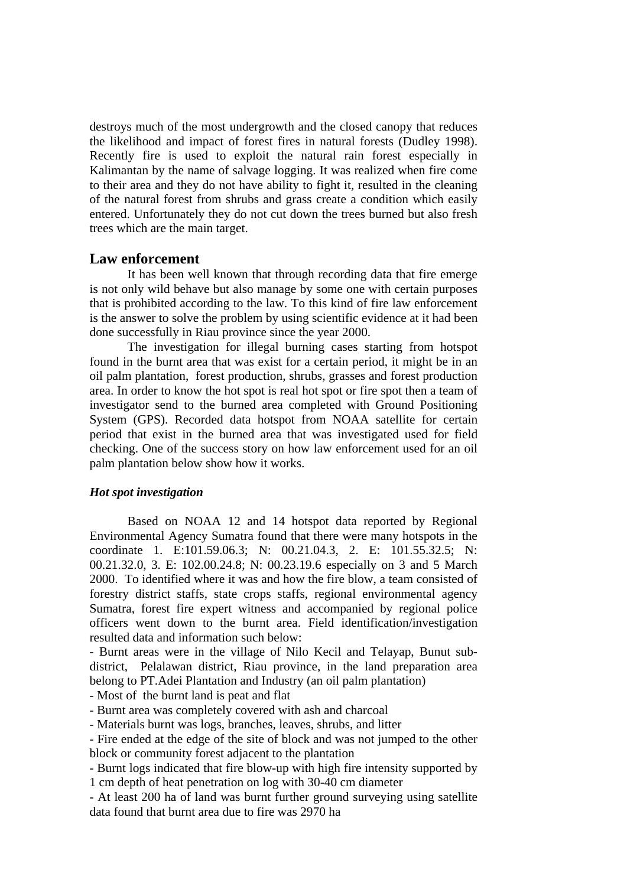destroys much of the most undergrowth and the closed canopy that reduces the likelihood and impact of forest fires in natural forests (Dudley 1998). Recently fire is used to exploit the natural rain forest especially in Kalimantan by the name of salvage logging. It was realized when fire come to their area and they do not have ability to fight it, resulted in the cleaning of the natural forest from shrubs and grass create a condition which easily entered. Unfortunately they do not cut down the trees burned but also fresh trees which are the main target.

# **Law enforcement**

It has been well known that through recording data that fire emerge is not only wild behave but also manage by some one with certain purposes that is prohibited according to the law. To this kind of fire law enforcement is the answer to solve the problem by using scientific evidence at it had been done successfully in Riau province since the year 2000.

The investigation for illegal burning cases starting from hotspot found in the burnt area that was exist for a certain period, it might be in an oil palm plantation, forest production, shrubs, grasses and forest production area. In order to know the hot spot is real hot spot or fire spot then a team of investigator send to the burned area completed with Ground Positioning System (GPS). Recorded data hotspot from NOAA satellite for certain period that exist in the burned area that was investigated used for field checking. One of the success story on how law enforcement used for an oil palm plantation below show how it works.

#### *Hot spot investigation*

Based on NOAA 12 and 14 hotspot data reported by Regional Environmental Agency Sumatra found that there were many hotspots in the coordinate 1. E:101.59.06.3; N: 00.21.04.3, 2. E: 101.55.32.5; N: 00.21.32.0, 3. E: 102.00.24.8; N: 00.23.19.6 especially on 3 and 5 March 2000. To identified where it was and how the fire blow, a team consisted of forestry district staffs, state crops staffs, regional environmental agency Sumatra, forest fire expert witness and accompanied by regional police officers went down to the burnt area. Field identification/investigation resulted data and information such below:

- Burnt areas were in the village of Nilo Kecil and Telayap, Bunut subdistrict, Pelalawan district, Riau province, in the land preparation area belong to PT.Adei Plantation and Industry (an oil palm plantation)

- Most of the burnt land is peat and flat

- Burnt area was completely covered with ash and charcoal

- Materials burnt was logs, branches, leaves, shrubs, and litter

- Fire ended at the edge of the site of block and was not jumped to the other block or community forest adjacent to the plantation

- Burnt logs indicated that fire blow-up with high fire intensity supported by 1 cm depth of heat penetration on log with 30-40 cm diameter

- At least 200 ha of land was burnt further ground surveying using satellite data found that burnt area due to fire was 2970 ha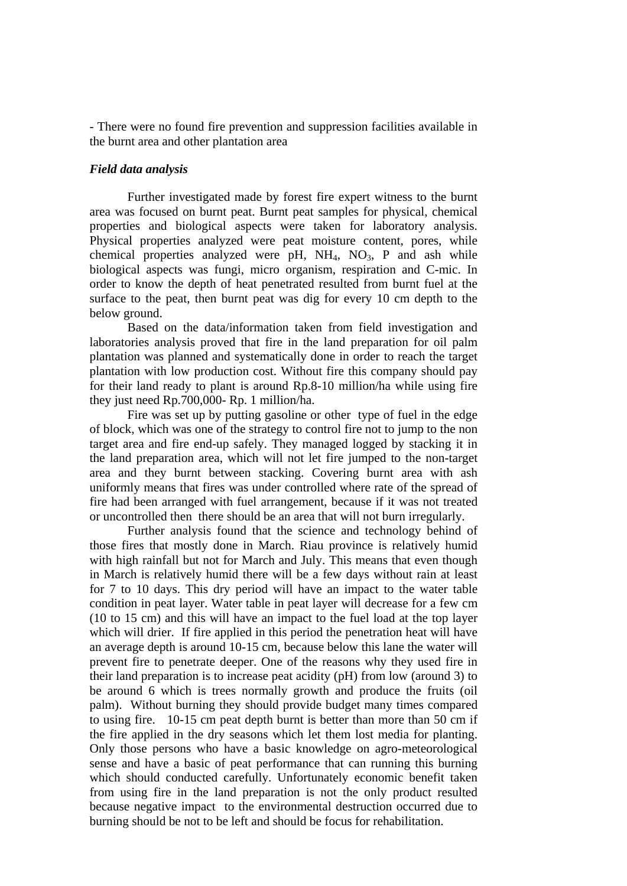- There were no found fire prevention and suppression facilities available in the burnt area and other plantation area

### *Field data analysis*

Further investigated made by forest fire expert witness to the burnt area was focused on burnt peat. Burnt peat samples for physical, chemical properties and biological aspects were taken for laboratory analysis. Physical properties analyzed were peat moisture content, pores, while chemical properties analyzed were pH,  $NH<sub>4</sub>$ ,  $NO<sub>3</sub>$ , P and ash while biological aspects was fungi, micro organism, respiration and C-mic. In order to know the depth of heat penetrated resulted from burnt fuel at the surface to the peat, then burnt peat was dig for every 10 cm depth to the below ground.

Based on the data/information taken from field investigation and laboratories analysis proved that fire in the land preparation for oil palm plantation was planned and systematically done in order to reach the target plantation with low production cost. Without fire this company should pay for their land ready to plant is around Rp.8-10 million/ha while using fire they just need Rp.700,000- Rp. 1 million/ha.

Fire was set up by putting gasoline or other type of fuel in the edge of block, which was one of the strategy to control fire not to jump to the non target area and fire end-up safely. They managed logged by stacking it in the land preparation area, which will not let fire jumped to the non-target area and they burnt between stacking. Covering burnt area with ash uniformly means that fires was under controlled where rate of the spread of fire had been arranged with fuel arrangement, because if it was not treated or uncontrolled then there should be an area that will not burn irregularly.

 Further analysis found that the science and technology behind of those fires that mostly done in March. Riau province is relatively humid with high rainfall but not for March and July. This means that even though in March is relatively humid there will be a few days without rain at least for 7 to 10 days. This dry period will have an impact to the water table condition in peat layer. Water table in peat layer will decrease for a few cm (10 to 15 cm) and this will have an impact to the fuel load at the top layer which will drier. If fire applied in this period the penetration heat will have an average depth is around 10-15 cm, because below this lane the water will prevent fire to penetrate deeper. One of the reasons why they used fire in their land preparation is to increase peat acidity (pH) from low (around 3) to be around 6 which is trees normally growth and produce the fruits (oil palm). Without burning they should provide budget many times compared to using fire. 10-15 cm peat depth burnt is better than more than 50 cm if the fire applied in the dry seasons which let them lost media for planting. Only those persons who have a basic knowledge on agro-meteorological sense and have a basic of peat performance that can running this burning which should conducted carefully. Unfortunately economic benefit taken from using fire in the land preparation is not the only product resulted because negative impact to the environmental destruction occurred due to burning should be not to be left and should be focus for rehabilitation.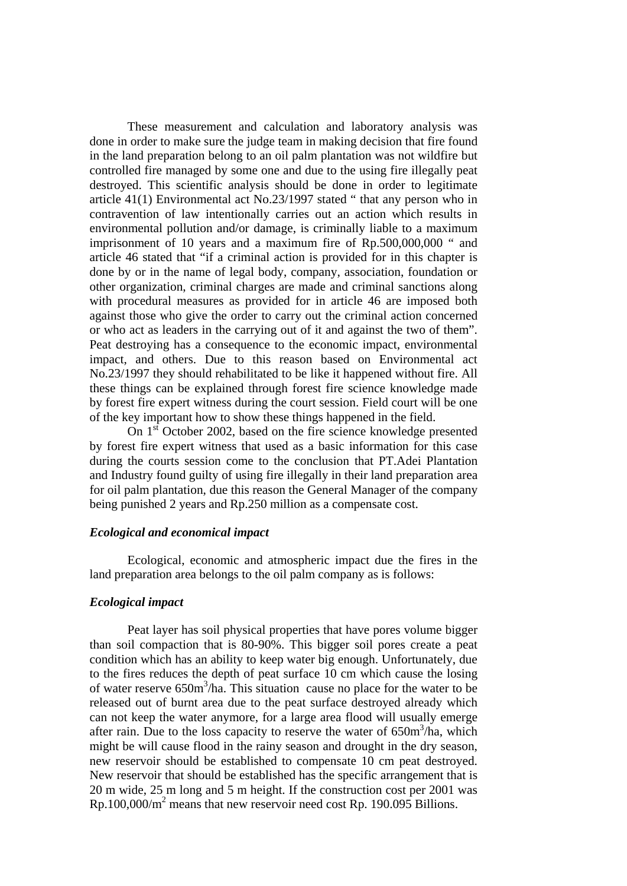These measurement and calculation and laboratory analysis was done in order to make sure the judge team in making decision that fire found in the land preparation belong to an oil palm plantation was not wildfire but controlled fire managed by some one and due to the using fire illegally peat destroyed. This scientific analysis should be done in order to legitimate article 41(1) Environmental act No.23/1997 stated " that any person who in contravention of law intentionally carries out an action which results in environmental pollution and/or damage, is criminally liable to a maximum imprisonment of 10 years and a maximum fire of Rp.500,000,000 " and article 46 stated that "if a criminal action is provided for in this chapter is done by or in the name of legal body, company, association, foundation or other organization, criminal charges are made and criminal sanctions along with procedural measures as provided for in article 46 are imposed both against those who give the order to carry out the criminal action concerned or who act as leaders in the carrying out of it and against the two of them". Peat destroying has a consequence to the economic impact, environmental impact, and others. Due to this reason based on Environmental act No.23/1997 they should rehabilitated to be like it happened without fire. All these things can be explained through forest fire science knowledge made by forest fire expert witness during the court session. Field court will be one of the key important how to show these things happened in the field.

On  $1<sup>st</sup>$  October 2002, based on the fire science knowledge presented by forest fire expert witness that used as a basic information for this case during the courts session come to the conclusion that PT.Adei Plantation and Industry found guilty of using fire illegally in their land preparation area for oil palm plantation, due this reason the General Manager of the company being punished 2 years and Rp.250 million as a compensate cost.

#### *Ecological and economical impact*

Ecological, economic and atmospheric impact due the fires in the land preparation area belongs to the oil palm company as is follows:

#### *Ecological impact*

Peat layer has soil physical properties that have pores volume bigger than soil compaction that is 80-90%. This bigger soil pores create a peat condition which has an ability to keep water big enough. Unfortunately, due to the fires reduces the depth of peat surface 10 cm which cause the losing of water reserve  $650m^3/ha$ . This situation cause no place for the water to be released out of burnt area due to the peat surface destroyed already which can not keep the water anymore, for a large area flood will usually emerge after rain. Due to the loss capacity to reserve the water of  $650m^3/ha$ , which might be will cause flood in the rainy season and drought in the dry season, new reservoir should be established to compensate 10 cm peat destroyed. New reservoir that should be established has the specific arrangement that is 20 m wide, 25 m long and 5 m height. If the construction cost per 2001 was Rp.100,000/m<sup>2</sup> means that new reservoir need cost Rp. 190.095 Billions.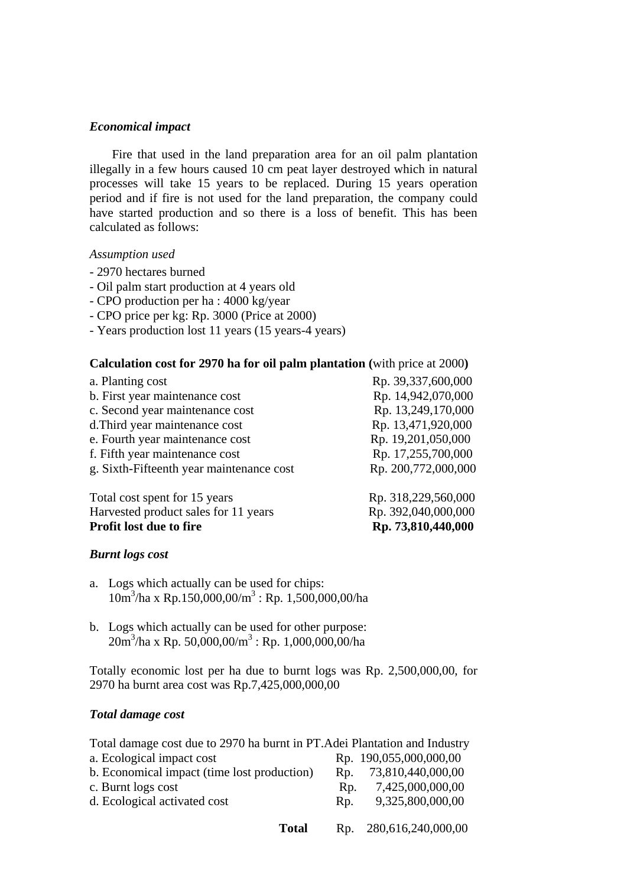# *Economical impact*

Fire that used in the land preparation area for an oil palm plantation illegally in a few hours caused 10 cm peat layer destroyed which in natural processes will take 15 years to be replaced. During 15 years operation period and if fire is not used for the land preparation, the company could have started production and so there is a loss of benefit. This has been calculated as follows:

### *Assumption used*

- 2970 hectares burned
- Oil palm start production at 4 years old
- CPO production per ha : 4000 kg/year
- CPO price per kg: Rp. 3000 (Price at 2000)
- Years production lost 11 years (15 years-4 years)

# **Calculation cost for 2970 ha for oil palm plantation (**with price at 2000**)**

| a. Planting cost                         | Rp. 39,337,600,000  |
|------------------------------------------|---------------------|
| b. First year maintenance cost           | Rp. 14,942,070,000  |
| c. Second year maintenance cost          | Rp. 13,249,170,000  |
| d. Third year maintenance cost           | Rp. 13,471,920,000  |
| e. Fourth year maintenance cost          | Rp. 19,201,050,000  |
| f. Fifth year maintenance cost           | Rp. 17,255,700,000  |
| g. Sixth-Fifteenth year maintenance cost | Rp. 200,772,000,000 |
| Total cost spent for 15 years            | Rp. 318,229,560,000 |
| Harvested product sales for 11 years     | Rp. 392,040,000,000 |

**Profit lost due to fire** Rp. 73,810,440,000

*Burnt logs cost*

- a. Logs which actually can be used for chips: 10m3 /ha x Rp.150,000,00/m3 : Rp. 1,500,000,00/ha
- b. Logs which actually can be used for other purpose:  $20m<sup>3</sup>/ha$  x Rp. 50,000,00/m<sup>3</sup> : Rp. 1,000,000,00/ha

Totally economic lost per ha due to burnt logs was Rp. 2,500,000,00, for 2970 ha burnt area cost was Rp.7,425,000,000,00

# *Total damage cost*

| Total damage cost due to 2970 ha burnt in PT. Adei Plantation and Industry |                |                        |  |
|----------------------------------------------------------------------------|----------------|------------------------|--|
| a. Ecological impact cost                                                  |                | Rp. 190,055,000,000,00 |  |
| b. Economical impact (time lost production)                                | Rp.            | 73,810,440,000,00      |  |
| c. Burnt logs cost                                                         | R <sub>D</sub> | 7,425,000,000,00       |  |
| d. Ecological activated cost                                               | R <sub>D</sub> | 9,325,800,000,00       |  |
|                                                                            |                |                        |  |

 **Total** Rp. 280,616,240,000,00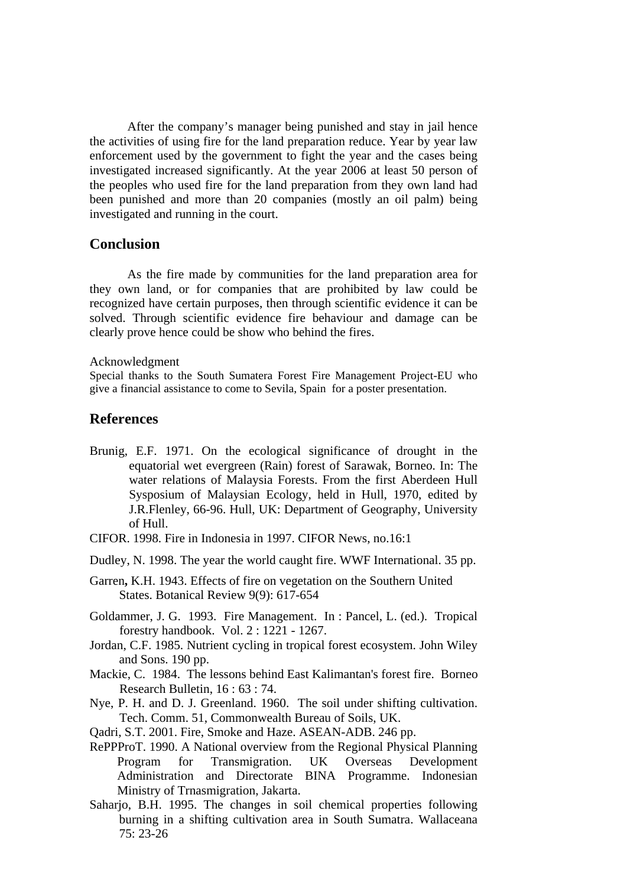After the company's manager being punished and stay in jail hence the activities of using fire for the land preparation reduce. Year by year law enforcement used by the government to fight the year and the cases being investigated increased significantly. At the year 2006 at least 50 person of the peoples who used fire for the land preparation from they own land had been punished and more than 20 companies (mostly an oil palm) being investigated and running in the court.

# **Conclusion**

 As the fire made by communities for the land preparation area for they own land, or for companies that are prohibited by law could be recognized have certain purposes, then through scientific evidence it can be solved. Through scientific evidence fire behaviour and damage can be clearly prove hence could be show who behind the fires.

#### Acknowledgment

Special thanks to the South Sumatera Forest Fire Management Project-EU who give a financial assistance to come to Sevila, Spain for a poster presentation.

# **References**

- Brunig, E.F. 1971. On the ecological significance of drought in the equatorial wet evergreen (Rain) forest of Sarawak, Borneo. In: The water relations of Malaysia Forests. From the first Aberdeen Hull Sysposium of Malaysian Ecology, held in Hull, 1970, edited by J.R.Flenley, 66-96. Hull, UK: Department of Geography, University of Hull.
- CIFOR. 1998. Fire in Indonesia in 1997. CIFOR News, no.16:1
- Dudley, N. 1998. The year the world caught fire. WWF International. 35 pp.
- Garren**,** K.H. 1943. Effects of fire on vegetation on the Southern United States. Botanical Review 9(9): 617-654
- Goldammer, J. G. 1993. Fire Management. In : Pancel, L. (ed.). Tropical forestry handbook. Vol. 2 : 1221 - 1267.
- Jordan, C.F. 1985. Nutrient cycling in tropical forest ecosystem. John Wiley and Sons. 190 pp.
- Mackie, C. 1984. The lessons behind East Kalimantan's forest fire. Borneo Research Bulletin,  $16 \cdot 63 \cdot 74$ .
- Nye, P. H. and D. J. Greenland. 1960. The soil under shifting cultivation. Tech. Comm. 51, Commonwealth Bureau of Soils, UK.
- Qadri, S.T. 2001. Fire, Smoke and Haze. ASEAN-ADB. 246 pp.
- RePPProT. 1990. A National overview from the Regional Physical Planning Program for Transmigration. UK Overseas Development Administration and Directorate BINA Programme. Indonesian Ministry of Trnasmigration, Jakarta.
- Saharjo, B.H. 1995. The changes in soil chemical properties following burning in a shifting cultivation area in South Sumatra. Wallaceana 75: 23-26